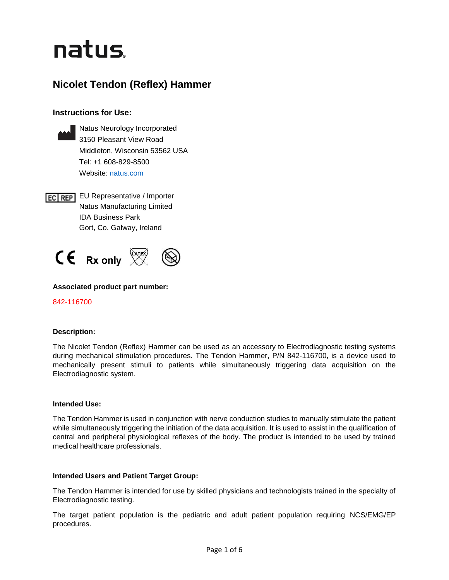# natus.

# **Nicolet Tendon (Reflex) Hammer**

# **Instructions for Use:**



Natus Neurology Incorporated 3150 Pleasant View Road Middleton, Wisconsin 53562 USA Tel: +1 608-829-8500 Website: [natus.com](https://natus.com/)

**EC REP** EU Representative / Importer Natus Manufacturing Limited IDA Business Park Gort, Co. Galway, Ireland



# **Associated product part number:**

842-116700

# **Description:**

The Nicolet Tendon (Reflex) Hammer can be used as an accessory to Electrodiagnostic testing systems during mechanical stimulation procedures. The Tendon Hammer, P/N 842-116700, is a device used to mechanically present stimuli to patients while simultaneously triggering data acquisition on the Electrodiagnostic system.

# **Intended Use:**

The Tendon Hammer is used in conjunction with nerve conduction studies to manually stimulate the patient while simultaneously triggering the initiation of the data acquisition. It is used to assist in the qualification of central and peripheral physiological reflexes of the body. The product is intended to be used by trained medical healthcare professionals.

# **Intended Users and Patient Target Group:**

The Tendon Hammer is intended for use by skilled physicians and technologists trained in the specialty of Electrodiagnostic testing.

The target patient population is the pediatric and adult patient population requiring NCS/EMG/EP procedures.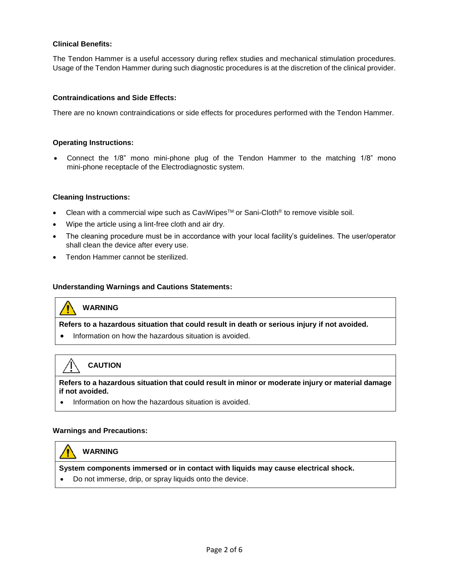# **Clinical Benefits:**

The Tendon Hammer is a useful accessory during reflex studies and mechanical stimulation procedures. Usage of the Tendon Hammer during such diagnostic procedures is at the discretion of the clinical provider.

# **Contraindications and Side Effects:**

There are no known contraindications or side effects for procedures performed with the Tendon Hammer.

#### **Operating Instructions:**

• Connect the 1/8" mono mini-phone plug of the Tendon Hammer to the matching 1/8" mono mini-phone receptacle of the Electrodiagnostic system.

#### **Cleaning Instructions:**

- Clean with a commercial wipe such as CaviWipes<sup> $m$ </sup> or Sani-Cloth<sup>®</sup> to remove visible soil.
- Wipe the article using a lint-free cloth and air dry.
- The cleaning procedure must be in accordance with your local facility's quidelines. The user/operator shall clean the device after every use.
- Tendon Hammer cannot be sterilized.

#### **Understanding Warnings and Cautions Statements:**

# **WARNING**

**Refers to a hazardous situation that could result in death or serious injury if not avoided.** 

• Information on how the hazardous situation is avoided.

# **CAUTION**

**Refers to a hazardous situation that could result in minor or moderate injury or material damage if not avoided.**

• Information on how the hazardous situation is avoided.

#### **Warnings and Precautions:**

# **WARNING**

**System components immersed or in contact with liquids may cause electrical shock.**

• Do not immerse, drip, or spray liquids onto the device.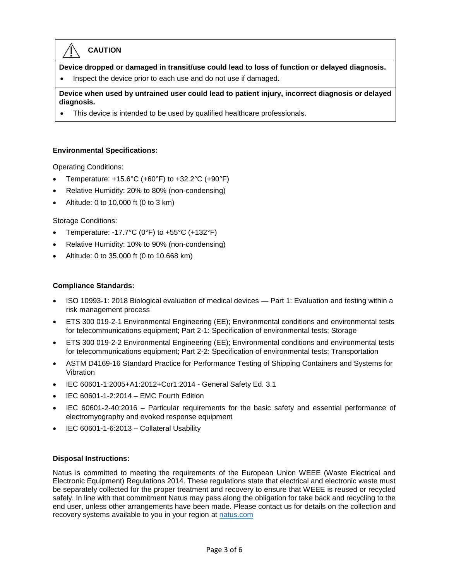# **CAUTION**

**Device dropped or damaged in transit/use could lead to loss of function or delayed diagnosis.**

• Inspect the device prior to each use and do not use if damaged.

**Device when used by untrained user could lead to patient injury, incorrect diagnosis or delayed diagnosis.**

• This device is intended to be used by qualified healthcare professionals.

# **Environmental Specifications:**

Operating Conditions:

- Temperature:  $+15.6^{\circ}$ C ( $+60^{\circ}$ F) to  $+32.2^{\circ}$ C ( $+90^{\circ}$ F)
- Relative Humidity: 20% to 80% (non-condensing)
- Altitude: 0 to 10,000 ft (0 to 3 km)

# Storage Conditions:

- Temperature: -17.7°C (0°F) to +55°C (+132°F)
- Relative Humidity: 10% to 90% (non-condensing)
- Altitude: 0 to 35,000 ft (0 to 10.668 km)

# **Compliance Standards:**

- ISO 10993-1: 2018 Biological evaluation of medical devices Part 1: Evaluation and testing within a risk management process
- ETS 300 019-2-1 Environmental Engineering (EE); Environmental conditions and environmental tests for telecommunications equipment; Part 2-1: Specification of environmental tests; Storage
- ETS 300 019-2-2 Environmental Engineering (EE); Environmental conditions and environmental tests for telecommunications equipment; Part 2-2: Specification of environmental tests; Transportation
- ASTM D4169-16 Standard Practice for Performance Testing of Shipping Containers and Systems for Vibration
- IEC 60601-1:2005+A1:2012+Cor1:2014 General Safety Ed. 3.1
- IEC 60601-1-2:2014 EMC Fourth Edition
- IEC 60601-2-40:2016 Particular requirements for the basic safety and essential performance of electromyography and evoked response equipment
- IEC 60601-1-6:2013 Collateral Usability

# **Disposal Instructions:**

Natus is committed to meeting the requirements of the European Union WEEE (Waste Electrical and Electronic Equipment) Regulations 2014. These regulations state that electrical and electronic waste must be separately collected for the proper treatment and recovery to ensure that WEEE is reused or recycled safely. In line with that commitment Natus may pass along the obligation for take back and recycling to the end user, unless other arrangements have been made. Please contact us for details on the collection and recovery systems available to you in your region at [natus.com](https://natus.com/)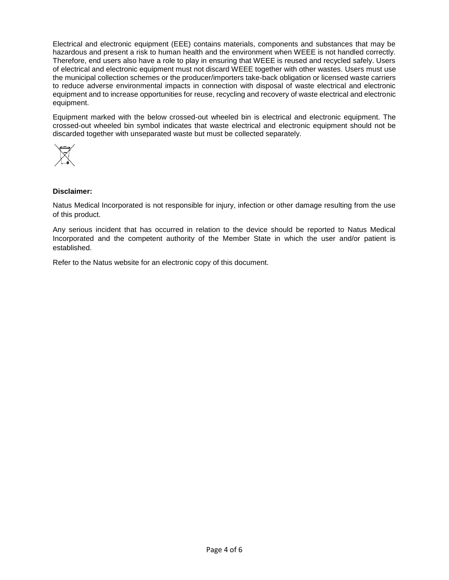Electrical and electronic equipment (EEE) contains materials, components and substances that may be hazardous and present a risk to human health and the environment when WEEE is not handled correctly. Therefore, end users also have a role to play in ensuring that WEEE is reused and recycled safely. Users of electrical and electronic equipment must not discard WEEE together with other wastes. Users must use the municipal collection schemes or the producer/importers take-back obligation or licensed waste carriers to reduce adverse environmental impacts in connection with disposal of waste electrical and electronic equipment and to increase opportunities for reuse, recycling and recovery of waste electrical and electronic equipment.

Equipment marked with the below crossed-out wheeled bin is electrical and electronic equipment. The crossed-out wheeled bin symbol indicates that waste electrical and electronic equipment should not be discarded together with unseparated waste but must be collected separately.



# **Disclaimer:**

Natus Medical Incorporated is not responsible for injury, infection or other damage resulting from the use of this product.

Any serious incident that has occurred in relation to the device should be reported to Natus Medical Incorporated and the competent authority of the Member State in which the user and/or patient is established.

Refer to the Natus website for an electronic copy of this document.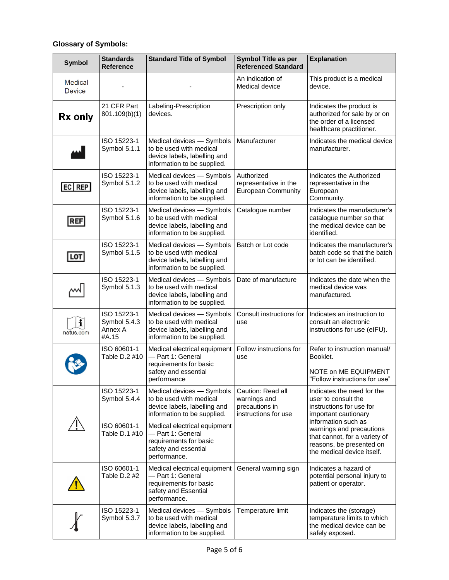# **Glossary of Symbols:**

| <b>Symbol</b>            | <b>Standards</b><br><b>Reference</b>            | <b>Standard Title of Symbol</b>                                                                                     | <b>Symbol Title as per</b><br><b>Referenced Standard</b>                    | <b>Explanation</b>                                                                                                                                                                                                                                  |
|--------------------------|-------------------------------------------------|---------------------------------------------------------------------------------------------------------------------|-----------------------------------------------------------------------------|-----------------------------------------------------------------------------------------------------------------------------------------------------------------------------------------------------------------------------------------------------|
| Medical<br><b>Device</b> |                                                 |                                                                                                                     | An indication of<br>Medical device                                          | This product is a medical<br>device.                                                                                                                                                                                                                |
| Rx only                  | 21 CFR Part<br>801.109(b)(1)                    | Labeling-Prescription<br>devices.                                                                                   | Prescription only                                                           | Indicates the product is<br>authorized for sale by or on<br>the order of a licensed<br>healthcare practitioner.                                                                                                                                     |
|                          | ISO 15223-1<br>Symbol 5.1.1                     | Medical devices - Symbols<br>to be used with medical<br>device labels, labelling and<br>information to be supplied. | Manufacturer                                                                | Indicates the medical device<br>manufacturer.                                                                                                                                                                                                       |
| EC REF                   | ISO 15223-1<br>Symbol 5.1.2                     | Medical devices - Symbols<br>to be used with medical<br>device labels, labelling and<br>information to be supplied. | Authorized<br>representative in the<br><b>European Community</b>            | Indicates the Authorized<br>representative in the<br>European<br>Community.                                                                                                                                                                         |
| <b>REF</b>               | ISO 15223-1<br>Symbol 5.1.6                     | Medical devices - Symbols<br>to be used with medical<br>device labels, labelling and<br>information to be supplied. | Catalogue number                                                            | Indicates the manufacturer's<br>catalogue number so that<br>the medical device can be<br>identified.                                                                                                                                                |
| LOT                      | ISO 15223-1<br>Symbol 5.1.5                     | Medical devices - Symbols<br>to be used with medical<br>device labels, labelling and<br>information to be supplied. | Batch or Lot code                                                           | Indicates the manufacturer's<br>batch code so that the batch<br>or lot can be identified.                                                                                                                                                           |
|                          | ISO 15223-1<br>Symbol 5.1.3                     | Medical devices - Symbols<br>to be used with medical<br>device labels, labelling and<br>information to be supplied. | Date of manufacture                                                         | Indicates the date when the<br>medical device was<br>manufactured.                                                                                                                                                                                  |
| i<br>natus.com           | ISO 15223-1<br>Symbol 5.4.3<br>Annex A<br>#A.15 | Medical devices - Symbols<br>to be used with medical<br>device labels, labelling and<br>information to be supplied. | Consult instructions for<br>use                                             | Indicates an instruction to<br>consult an electronic<br>instructions for use (eIFU).                                                                                                                                                                |
|                          | ISO 60601-1<br>Table D.2 #10                    | Medical electrical equipment<br>- Part 1: General<br>requirements for basic<br>safety and essential<br>performance  | Follow instructions for<br>use                                              | Refer to instruction manual/<br>Booklet.<br>NOTE on ME EQUIPMENT<br>"Follow instructions for use"                                                                                                                                                   |
|                          | ISO 15223-1<br>Symbol 5.4.4                     | Medical devices - Symbols<br>to be used with medical<br>device labels, labelling and<br>information to be supplied. | Caution: Read all<br>warnings and<br>precautions in<br>instructions for use | Indicates the need for the<br>user to consult the<br>instructions for use for<br>important cautionary<br>information such as<br>warnings and precautions<br>that cannot, for a variety of<br>reasons, be presented on<br>the medical device itself. |
|                          | ISO 60601-1<br>Table D.1 #10                    | Medical electrical equipment<br>- Part 1: General<br>requirements for basic<br>safety and essential<br>performance. |                                                                             |                                                                                                                                                                                                                                                     |
|                          | ISO 60601-1<br>Table D.2 #2                     | Medical electrical equipment<br>- Part 1: General<br>requirements for basic<br>safety and Essential<br>performance. | General warning sign                                                        | Indicates a hazard of<br>potential personal injury to<br>patient or operator.                                                                                                                                                                       |
|                          | ISO 15223-1<br>Symbol 5.3.7                     | Medical devices - Symbols<br>to be used with medical<br>device labels, labelling and<br>information to be supplied. | Temperature limit                                                           | Indicates the (storage)<br>temperature limits to which<br>the medical device can be<br>safely exposed.                                                                                                                                              |